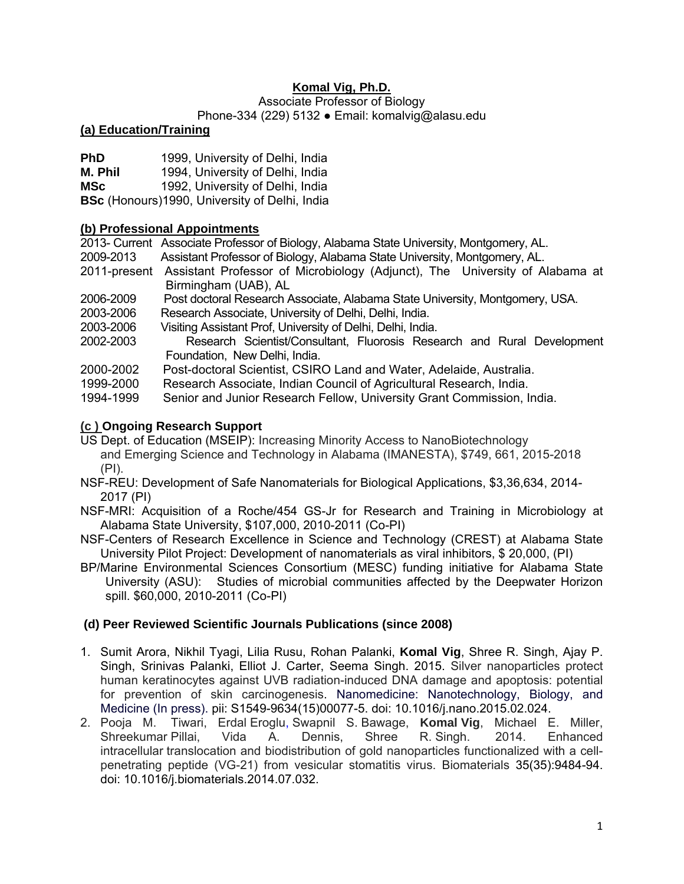# **Komal Vig, Ph.D.**

Associate Professor of Biology

#### Phone-334 (229) 5132 ● Email: komalvig@alasu.edu

#### **(a) Education/Training**

**PhD** 1999, University of Delhi, India

**M. Phil** 1994, University of Delhi, India

**MSc** 1992, University of Delhi, India

**BSc** (Honours)1990, University of Delhi, India

### **(b) Professional Appointments**

2013- Current Associate Professor of Biology, Alabama State University, Montgomery, AL.

- 2009-2013 Assistant Professor of Biology, Alabama State University, Montgomery, AL.
- 2011-present Assistant Professor of Microbiology (Adjunct), The University of Alabama at Birmingham (UAB), AL
- 2006-2009 Post doctoral Research Associate, Alabama State University, Montgomery, USA.
- 2003-2006 Research Associate, University of Delhi, Delhi, India.
- 2003-2006 Visiting Assistant Prof, University of Delhi, Delhi, India.
- 2002-2003 Research Scientist/Consultant, Fluorosis Research and Rural Development Foundation, New Delhi, India.
- 2000-2002 Post-doctoral Scientist, CSIRO Land and Water, Adelaide, Australia.
- 1999-2000 Research Associate, Indian Council of Agricultural Research, India.
- 1994-1999 Senior and Junior Research Fellow, University Grant Commission, India.

### **(c ) Ongoing Research Support**

US Dept. of Education (MSEIP): Increasing Minority Access to NanoBiotechnology and Emerging Science and Technology in Alabama (IMANESTA), \$749, 661, 2015-2018 (PI).

- NSF-REU: Development of Safe Nanomaterials for Biological Applications, \$3,36,634, 2014- 2017 (PI)
- NSF-MRI: Acquisition of a Roche/454 GS-Jr for Research and Training in Microbiology at Alabama State University, \$107,000, 2010-2011 (Co-PI)
- NSF-Centers of Research Excellence in Science and Technology (CREST) at Alabama State University Pilot Project: Development of nanomaterials as viral inhibitors, \$ 20,000, (PI)
- BP/Marine Environmental Sciences Consortium (MESC) funding initiative for Alabama State University (ASU): Studies of microbial communities affected by the Deepwater Horizon spill. \$60,000, 2010-2011 (Co-PI)

### **(d) Peer Reviewed Scientific Journals Publications (since 2008)**

- 1. Sumit Arora, Nikhil Tyagi, Lilia Rusu, Rohan Palanki, **Komal Vig**, Shree R. Singh, Ajay P. Singh, Srinivas Palanki, Elliot J. Carter, Seema Singh. 2015. Silver nanoparticles protect human keratinocytes against UVB radiation-induced DNA damage and apoptosis: potential for prevention of skin carcinogenesis. Nanomedicine: Nanotechnology, Biology, and Medicine (In press). pii: S1549-9634(15)00077-5. doi: 10.1016/j.nano.2015.02.024.
- 2. Pooja M. Tiwari, Erdal Eroglu, Swapnil S. Bawage, **Komal Vig**, Michael E. Miller, Shreekumar Pillai, Vida A. Dennis, Shree R. Singh. 2014. Enhanced intracellular translocation and biodistribution of gold nanoparticles functionalized with a cellpenetrating peptide (VG-21) from vesicular stomatitis virus. Biomaterials 35(35):9484-94. doi: 10.1016/j.biomaterials.2014.07.032.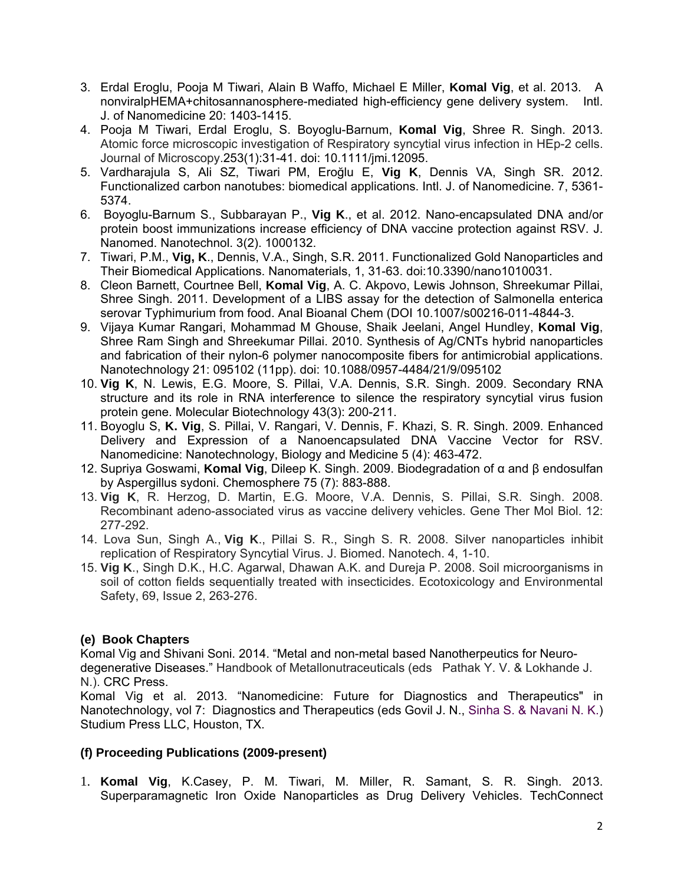- 3. Erdal Eroglu, Pooja M Tiwari, Alain B Waffo, Michael E Miller, **Komal Vig**, et al. 2013. A nonviralpHEMA+chitosannanosphere-mediated high-efficiency gene delivery system. Intl. J. of Nanomedicine 20: 1403-1415.
- 4. Pooja M Tiwari, Erdal Eroglu, S. Boyoglu-Barnum, **Komal Vig**, Shree R. Singh. 2013. Atomic force microscopic investigation of Respiratory syncytial virus infection in HEp-2 cells. Journal of Microscopy.253(1):31-41. doi: 10.1111/jmi.12095.
- 5. Vardharajula S, Ali SZ, Tiwari PM, Eroğlu E, **Vig K**, Dennis VA, Singh SR. 2012. Functionalized carbon nanotubes: biomedical applications. Intl. J. of Nanomedicine. 7, 5361- 5374.
- 6. Boyoglu-Barnum S., Subbarayan P., **Vig K**., et al. 2012. Nano-encapsulated DNA and/or protein boost immunizations increase efficiency of DNA vaccine protection against RSV. J. Nanomed. Nanotechnol. 3(2). 1000132.
- 7. Tiwari, P.M., **Vig, K**., Dennis, V.A., Singh, S.R. 2011. Functionalized Gold Nanoparticles and Their Biomedical Applications. Nanomaterials, 1, 31-63. doi:10.3390/nano1010031.
- 8. Cleon Barnett, Courtnee Bell, **Komal Vig**, A. C. Akpovo, Lewis Johnson, Shreekumar Pillai, Shree Singh. 2011. Development of a LIBS assay for the detection of Salmonella enterica serovar Typhimurium from food. Anal Bioanal Chem (DOI 10.1007/s00216-011-4844-3.
- 9. Vijaya Kumar Rangari, Mohammad M Ghouse, Shaik Jeelani, Angel Hundley, **Komal Vig**, Shree Ram Singh and Shreekumar Pillai. 2010. Synthesis of Ag/CNTs hybrid nanoparticles and fabrication of their nylon-6 polymer nanocomposite fibers for antimicrobial applications. Nanotechnology 21: 095102 (11pp). doi: 10.1088/0957-4484/21/9/095102
- 10. **Vig K**, N. Lewis, E.G. Moore, S. Pillai, V.A. Dennis, S.R. Singh. 2009. Secondary RNA structure and its role in RNA interference to silence the respiratory syncytial virus fusion protein gene. Molecular Biotechnology 43(3): 200-211.
- 11. Boyoglu S, **K. Vig**, S. Pillai, V. Rangari, V. Dennis, F. Khazi, S. R. Singh. 2009. Enhanced Delivery and Expression of a Nanoencapsulated DNA Vaccine Vector for RSV. Nanomedicine: Nanotechnology, Biology and Medicine 5 (4): 463-472.
- 12. Supriya Goswami, **Komal Vig**, Dileep K. Singh. 2009. Biodegradation of α and β endosulfan by Aspergillus sydoni. Chemosphere 75 (7): 883-888.
- 13. **Vig K**, R. Herzog, D. Martin, E.G. Moore, V.A. Dennis, S. Pillai, S.R. Singh. 2008. Recombinant adeno-associated virus as vaccine delivery vehicles. Gene Ther Mol Biol. 12: 277-292.
- 14. Lova Sun, Singh A., **Vig K**., Pillai S. R., Singh S. R. 2008. Silver nanoparticles inhibit replication of Respiratory Syncytial Virus. J. Biomed. Nanotech. 4, 1-10.
- 15. **Vig K**., Singh D.K., H.C. Agarwal, Dhawan A.K. and Dureja P. 2008. Soil microorganisms in soil of cotton fields sequentially treated with insecticides. Ecotoxicology and Environmental Safety, 69, Issue 2, 263-276.

# **(e) Book Chapters**

Komal Vig and Shivani Soni. 2014. "Metal and non-metal based Nanotherpeutics for Neurodegenerative Diseases." Handbook of Metallonutraceuticals (eds Pathak Y. V. & Lokhande J. N.). CRC Press.

Komal Vig et al. 2013. "Nanomedicine: Future for Diagnostics and Therapeutics" in Nanotechnology, vol 7: Diagnostics and Therapeutics (eds Govil J. N., Sinha S. & Navani N. K.) Studium Press LLC, Houston, TX.

# **(f) Proceeding Publications (2009-present)**

1. **Komal Vig**, K.Casey, P. M. Tiwari, M. Miller, R. Samant, S. R. Singh. 2013. Superparamagnetic Iron Oxide Nanoparticles as Drug Delivery Vehicles. TechConnect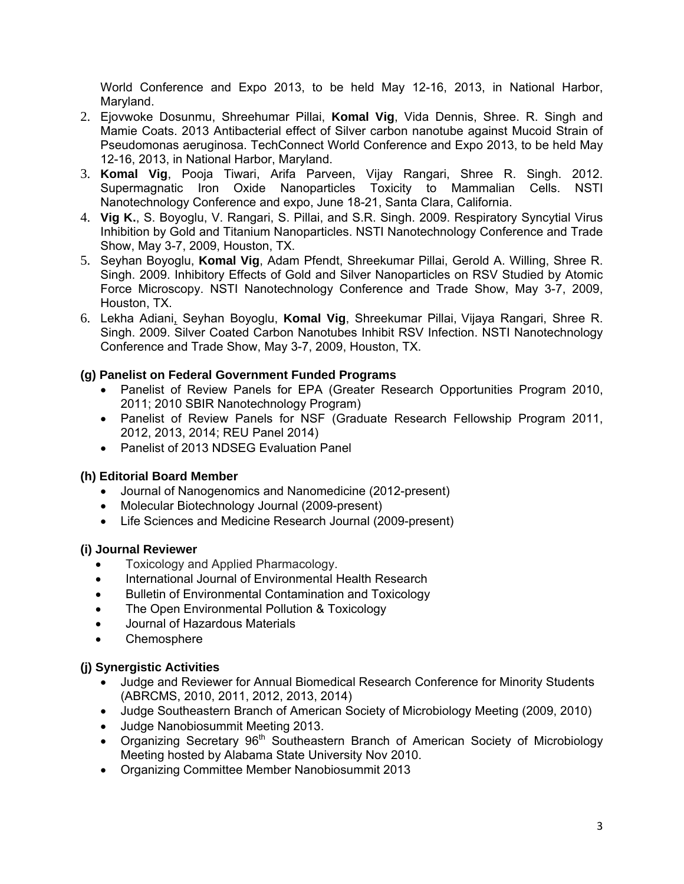World Conference and Expo 2013, to be held May 12-16, 2013, in National Harbor, Maryland.

- 2. Ejovwoke Dosunmu, Shreehumar Pillai, **Komal Vig**, Vida Dennis, Shree. R. Singh and Mamie Coats. 2013 Antibacterial effect of Silver carbon nanotube against Mucoid Strain of Pseudomonas aeruginosa. TechConnect World Conference and Expo 2013, to be held May 12-16, 2013, in National Harbor, Maryland.
- 3. **Komal Vig**, Pooja Tiwari, Arifa Parveen, Vijay Rangari, Shree R. Singh. 2012. Supermagnatic Iron Oxide Nanoparticles Toxicity to Mammalian Cells. NSTI Nanotechnology Conference and expo, June 18-21, Santa Clara, California.
- 4. **Vig K.**, S. Boyoglu, V. Rangari, S. Pillai, and S.R. Singh. 2009. Respiratory Syncytial Virus Inhibition by Gold and Titanium Nanoparticles. NSTI Nanotechnology Conference and Trade Show, May 3-7, 2009, Houston, TX.
- 5. Seyhan Boyoglu, **Komal Vig**, Adam Pfendt, Shreekumar Pillai, Gerold A. Willing, Shree R. Singh. 2009. Inhibitory Effects of Gold and Silver Nanoparticles on RSV Studied by Atomic Force Microscopy. NSTI Nanotechnology Conference and Trade Show, May 3-7, 2009, Houston, TX.
- 6. Lekha Adiani, Seyhan Boyoglu, **Komal Vig**, Shreekumar Pillai, Vijaya Rangari, Shree R. Singh. 2009. Silver Coated Carbon Nanotubes Inhibit RSV Infection. NSTI Nanotechnology Conference and Trade Show, May 3-7, 2009, Houston, TX.

# **(g) Panelist on Federal Government Funded Programs**

- Panelist of Review Panels for EPA (Greater Research Opportunities Program 2010, 2011; 2010 SBIR Nanotechnology Program)
- Panelist of Review Panels for NSF (Graduate Research Fellowship Program 2011, 2012, 2013, 2014; REU Panel 2014)
- Panelist of 2013 NDSEG Evaluation Panel

# **(h) Editorial Board Member**

- Journal of Nanogenomics and Nanomedicine (2012-present)
- Molecular Biotechnology Journal (2009-present)
- Life Sciences and Medicine Research Journal (2009-present)

# **(i) Journal Reviewer**

- Toxicology and Applied Pharmacology.
- International Journal of Environmental Health Research
- Bulletin of Environmental Contamination and Toxicology
- The Open Environmental Pollution & Toxicology
- Journal of Hazardous Materials
- **Chemosphere**

### **(j) Synergistic Activities**

- Judge and Reviewer for Annual Biomedical Research Conference for Minority Students (ABRCMS, 2010, 2011, 2012, 2013, 2014)
- Judge Southeastern Branch of American Society of Microbiology Meeting (2009, 2010)
- Judge Nanobiosummit Meeting 2013.
- Organizing Secretary  $96<sup>th</sup>$  Southeastern Branch of American Society of Microbiology Meeting hosted by Alabama State University Nov 2010.
- Organizing Committee Member Nanobiosummit 2013